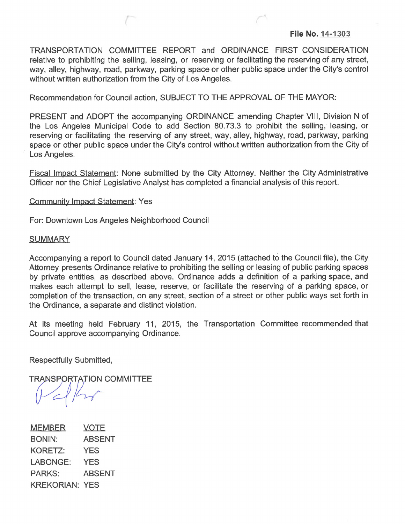TRANSPORTATION COMMITTEE REPORT and ORDINANCE FIRST CONSIDERATION relative to prohibiting the selling, leasing, or reserving or facilitating the reserving of any street, way, alley, highway, road, parkway, parking space or other public space under the City's control without written authorization from the City of Los Angeles.

Recommendation for Council action, SUBJECT TO THE APPROVAL OF THE MAYOR:

PRESENT and ADOPT the accompanying ORDINANCE amending Chapter VIII, Division N of the Los Angeles Municipal Code to add Section 80.73.3 to prohibit the selling, leasing, or reserving or facilitating the reserving of any street, way, alley, highway, road, parkway, parking space or other public space under the City's control without written authorization from the City of Los Angeles.

Fiscal Impact Statement: None submitted by the City Attorney. Neither the City Administrative Officer nor the Chief Legislative Analyst has completed a financial analysis of this report.

Community Impact Statement: Yes

For: Downtown Los Angeles Neighborhood Council

## **SUMMARY**

Accompanying a report to Council dated January 14, 2015 (attached to the Council file), the City Attorney presents Ordinance relative to prohibiting the selling or leasing of public parking spaces by private entities, as described above. Ordinance adds a definition of a parking space, and makes each attempt to sell, lease, reserve, or facilitate the reserving of a parking space, or completion of the transaction, on any street, section of a street or other public ways set forth in the Ordinance, a separate and distinct violation.

At its meeting held February 11, 2015, the Transportation Committee recommended that Council approve accompanying Ordinance.

Respectfully Submitted,

**TRANSPORTATION COMMITTEE** 

**MEMBER VOTE** BONIN: **ABSENT** KORETZ: **YES** LABONGE: **YES PARKS: ABSENT KREKORIAN: YES**